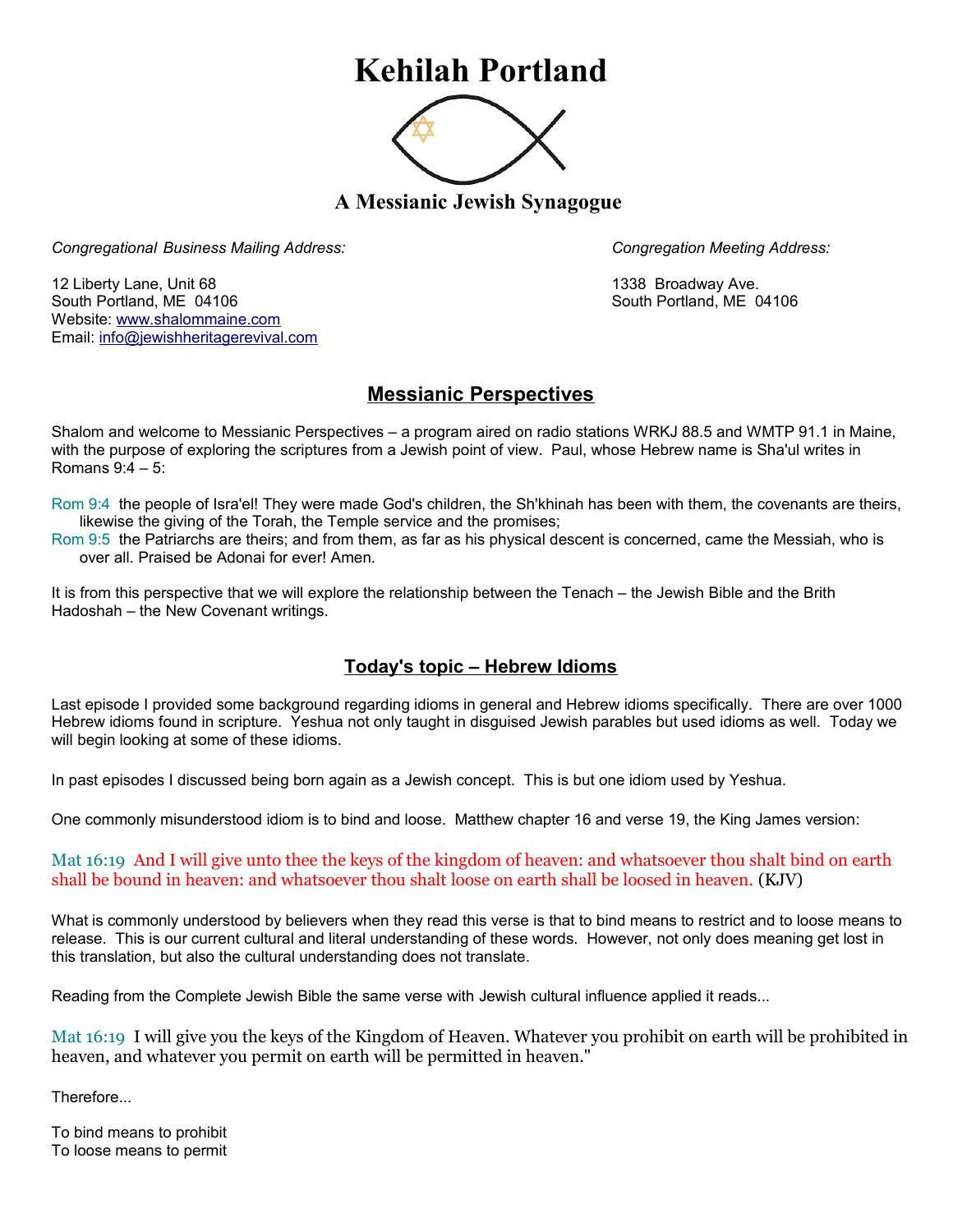# **Kehilah Portland**



**A Messianic Jewish Synagogue** 

*Congregational Business Mailing Address: Congregation Meeting Address:*

12 Liberty Lane, Unit 68 1338 Broadway Ave. South Portland, ME 04106 South Portland, ME 04106 Website: [www.shalommaine.com](http://www.shalommaine.com/) Email: [info@jewishheritagerevival.com](mailto:info@jewishheritagerevival.com) 

## **Messianic Perspectives**

Shalom and welcome to Messianic Perspectives – a program aired on radio stations WRKJ 88.5 and WMTP 91.1 in Maine, with the purpose of exploring the scriptures from a Jewish point of view. Paul, whose Hebrew name is Sha'ul writes in Romans 9:4 – 5:

Rom 9:4 the people of Isra'el! They were made God's children, the Sh'khinah has been with them, the covenants are theirs, likewise the giving of the Torah, the Temple service and the promises;

Rom 9:5 the Patriarchs are theirs; and from them, as far as his physical descent is concerned, came the Messiah, who is over all. Praised be Adonai for ever! Amen.

It is from this perspective that we will explore the relationship between the Tenach – the Jewish Bible and the Brith Hadoshah – the New Covenant writings.

### **Today's topic – Hebrew Idioms**

Last episode I provided some background regarding idioms in general and Hebrew idioms specifically. There are over 1000 Hebrew idioms found in scripture. Yeshua not only taught in disguised Jewish parables but used idioms as well. Today we will begin looking at some of these idioms.

In past episodes I discussed being born again as a Jewish concept. This is but one idiom used by Yeshua.

One commonly misunderstood idiom is to bind and loose. Matthew chapter 16 and verse 19, the King James version:

#### Mat 16:19 And I will give unto thee the keys of the kingdom of heaven: and whatsoever thou shalt bind on earth shall be bound in heaven: and whatsoever thou shalt loose on earth shall be loosed in heaven. (KJV)

What is commonly understood by believers when they read this verse is that to bind means to restrict and to loose means to release. This is our current cultural and literal understanding of these words. However, not only does meaning get lost in this translation, but also the cultural understanding does not translate.

Reading from the Complete Jewish Bible the same verse with Jewish cultural influence applied it reads...

Mat 16:19 I will give you the keys of the Kingdom of Heaven. Whatever you prohibit on earth will be prohibited in heaven, and whatever you permit on earth will be permitted in heaven."

Therefore...

To bind means to prohibit To loose means to permit